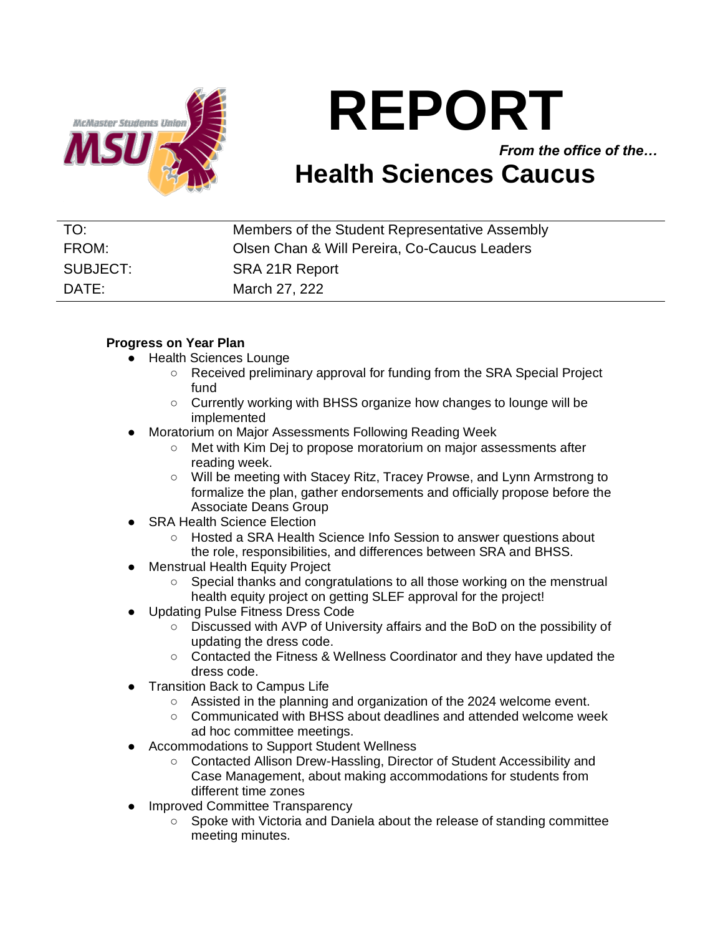

# **REPORT**

*From the office of the…*

## **Health Sciences Caucus**

| TO:      | Members of the Student Representative Assembly |
|----------|------------------------------------------------|
| FROM:    | Olsen Chan & Will Pereira, Co-Caucus Leaders   |
| SUBJECT: | SRA 21R Report                                 |
| DATE:    | March 27, 222                                  |

### **Progress on Year Plan**

- Health Sciences Lounge
	- Received preliminary approval for funding from the SRA Special Project fund
	- Currently working with BHSS organize how changes to lounge will be implemented
- **Moratorium on Major Assessments Following Reading Week** 
	- Met with Kim Dej to propose moratorium on major assessments after reading week.
	- Will be meeting with Stacey Ritz, Tracey Prowse, and Lynn Armstrong to formalize the plan, gather endorsements and officially propose before the Associate Deans Group
- **SRA Health Science Election** 
	- Hosted a SRA Health Science Info Session to answer questions about the role, responsibilities, and differences between SRA and BHSS.
- **Menstrual Health Equity Project** 
	- Special thanks and congratulations to all those working on the menstrual health equity project on getting SLEF approval for the project!
- **Updating Pulse Fitness Dress Code** 
	- Discussed with AVP of University affairs and the BoD on the possibility of updating the dress code.
	- Contacted the Fitness & Wellness Coordinator and they have updated the dress code.
- **Transition Back to Campus Life** 
	- Assisted in the planning and organization of the 2024 welcome event.
	- Communicated with BHSS about deadlines and attended welcome week ad hoc committee meetings.
- Accommodations to Support Student Wellness
	- Contacted Allison Drew-Hassling, Director of Student Accessibility and Case Management, about making accommodations for students from different time zones
- **Improved Committee Transparency** 
	- Spoke with Victoria and Daniela about the release of standing committee meeting minutes.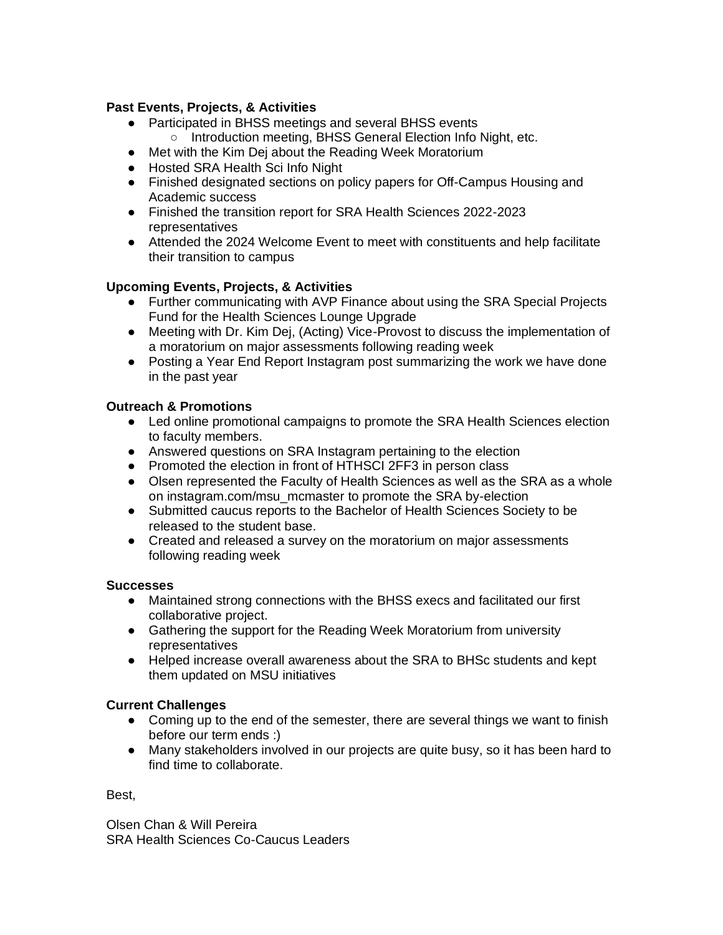#### **Past Events, Projects, & Activities**

- Participated in BHSS meetings and several BHSS events
	- Introduction meeting, BHSS General Election Info Night, etc.
- Met with the Kim Dej about the Reading Week Moratorium
- Hosted SRA Health Sci Info Night
- Finished designated sections on policy papers for Off-Campus Housing and Academic success
- Finished the transition report for SRA Health Sciences 2022-2023 representatives
- Attended the 2024 Welcome Event to meet with constituents and help facilitate their transition to campus

#### **Upcoming Events, Projects, & Activities**

- Further communicating with AVP Finance about using the SRA Special Projects Fund for the Health Sciences Lounge Upgrade
- Meeting with Dr. Kim Dej, (Acting) Vice-Provost to discuss the implementation of a moratorium on major assessments following reading week
- Posting a Year End Report Instagram post summarizing the work we have done in the past year

### **Outreach & Promotions**

- Led online promotional campaigns to promote the SRA Health Sciences election to faculty members.
- Answered questions on SRA Instagram pertaining to the election
- Promoted the election in front of HTHSCI 2FF3 in person class
- Olsen represented the Faculty of Health Sciences as well as the SRA as a whole on instagram.com/msu\_mcmaster to promote the SRA by-election
- Submitted caucus reports to the Bachelor of Health Sciences Society to be released to the student base.
- Created and released a survey on the moratorium on major assessments following reading week

#### **Successes**

- Maintained strong connections with the BHSS execs and facilitated our first collaborative project.
- Gathering the support for the Reading Week Moratorium from university representatives
- Helped increase overall awareness about the SRA to BHSc students and kept them updated on MSU initiatives

#### **Current Challenges**

- Coming up to the end of the semester, there are several things we want to finish before our term ends :)
- Many stakeholders involved in our projects are quite busy, so it has been hard to find time to collaborate.

Best,

Olsen Chan & Will Pereira SRA Health Sciences Co-Caucus Leaders